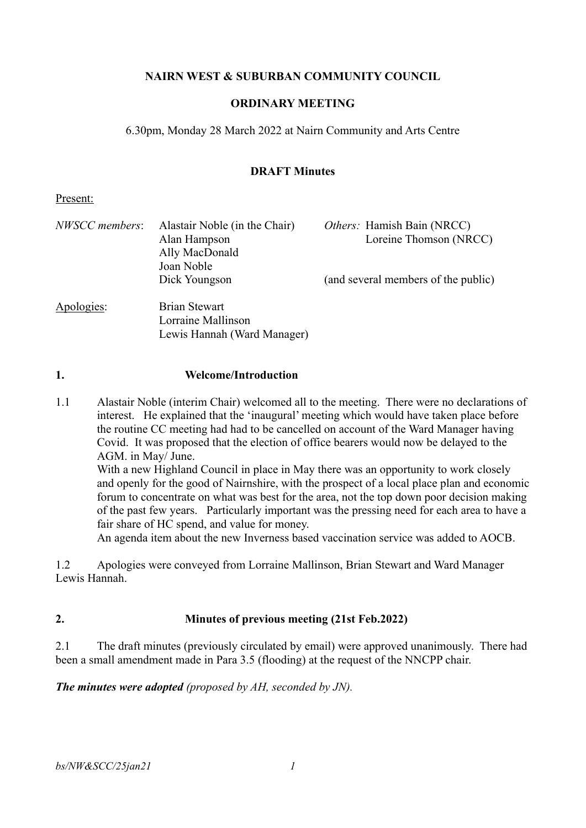## **NAIRN WEST & SUBURBAN COMMUNITY COUNCIL**

### **ORDINARY MEETING**

6.30pm, Monday 28 March 2022 at Nairn Community and Arts Centre

#### **DRAFT Minutes**

#### Present:

| NWSCC members: | Alastair Noble (in the Chair)<br>Alan Hampson<br>Ally MacDonald           | <i>Others:</i> Hamish Bain (NRCC)<br>Loreine Thomson (NRCC) |
|----------------|---------------------------------------------------------------------------|-------------------------------------------------------------|
|                | Joan Noble<br>Dick Youngson                                               | (and several members of the public)                         |
| Apologies:     | <b>Brian Stewart</b><br>Lorraine Mallinson<br>Lewis Hannah (Ward Manager) |                                                             |

#### **1. Welcome/Introduction**

1.1 Alastair Noble (interim Chair) welcomed all to the meeting. There were no declarations of interest. He explained that the 'inaugural' meeting which would have taken place before the routine CC meeting had had to be cancelled on account of the Ward Manager having Covid. It was proposed that the election of office bearers would now be delayed to the AGM. in May/ June.

With a new Highland Council in place in May there was an opportunity to work closely and openly for the good of Nairnshire, with the prospect of a local place plan and economic forum to concentrate on what was best for the area, not the top down poor decision making of the past few years. Particularly important was the pressing need for each area to have a fair share of HC spend, and value for money.

An agenda item about the new Inverness based vaccination service was added to AOCB.

1.2 Apologies were conveyed from Lorraine Mallinson, Brian Stewart and Ward Manager Lewis Hannah.

#### **2. Minutes of previous meeting (21st Feb.2022)**

2.1 The draft minutes (previously circulated by email) were approved unanimously. There had been a small amendment made in Para 3.5 (flooding) at the request of the NNCPP chair.

#### *The minutes were adopted (proposed by AH, seconded by JN).*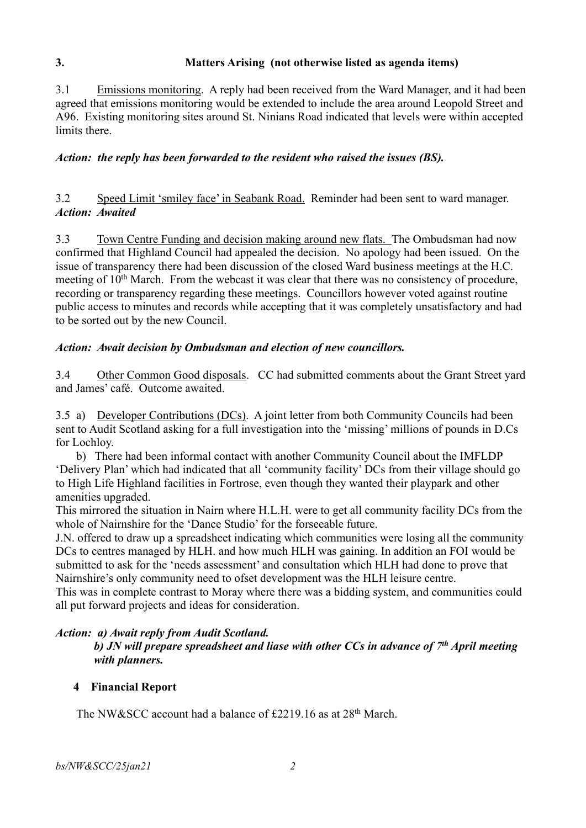# **3. Matters Arising (not otherwise listed as agenda items)**

3.1 Emissions monitoring. A reply had been received from the Ward Manager, and it had been agreed that emissions monitoring would be extended to include the area around Leopold Street and A96. Existing monitoring sites around St. Ninians Road indicated that levels were within accepted limits there.

### *Action: the reply has been forwarded to the resident who raised the issues (BS).*

3.2 Speed Limit 'smiley face' in Seabank Road. Reminder had been sent to ward manager. *Action: Awaited* 

3.3 Town Centre Funding and decision making around new flats. The Ombudsman had now confirmed that Highland Council had appealed the decision. No apology had been issued. On the issue of transparency there had been discussion of the closed Ward business meetings at the H.C. meeting of 10<sup>th</sup> March. From the webcast it was clear that there was no consistency of procedure, recording or transparency regarding these meetings. Councillors however voted against routine public access to minutes and records while accepting that it was completely unsatisfactory and had to be sorted out by the new Council.

#### *Action: Await decision by Ombudsman and election of new councillors.*

3.4 Other Common Good disposals. CC had submitted comments about the Grant Street yard and James' café. Outcome awaited.

3.5 a) Developer Contributions (DCs). A joint letter from both Community Councils had been sent to Audit Scotland asking for a full investigation into the 'missing' millions of pounds in D.Cs for Lochloy.

b) There had been informal contact with another Community Council about the IMFLDP 'Delivery Plan' which had indicated that all 'community facility' DCs from their village should go to High Life Highland facilities in Fortrose, even though they wanted their playpark and other amenities upgraded.

This mirrored the situation in Nairn where H.L.H. were to get all community facility DCs from the whole of Nairnshire for the 'Dance Studio' for the forseeable future.

J.N. offered to draw up a spreadsheet indicating which communities were losing all the community DCs to centres managed by HLH. and how much HLH was gaining. In addition an FOI would be submitted to ask for the 'needs assessment' and consultation which HLH had done to prove that Nairnshire's only community need to ofset development was the HLH leisure centre.

This was in complete contrast to Moray where there was a bidding system, and communities could all put forward projects and ideas for consideration.

#### *Action: a) Await reply from Audit Scotland.*

*b) JN will prepare spreadsheet and liase with other CCs in advance of 7th April meeting with planners.*

#### **4 Financial Report**

The NW&SCC account had a balance of £2219.16 as at 28<sup>th</sup> March.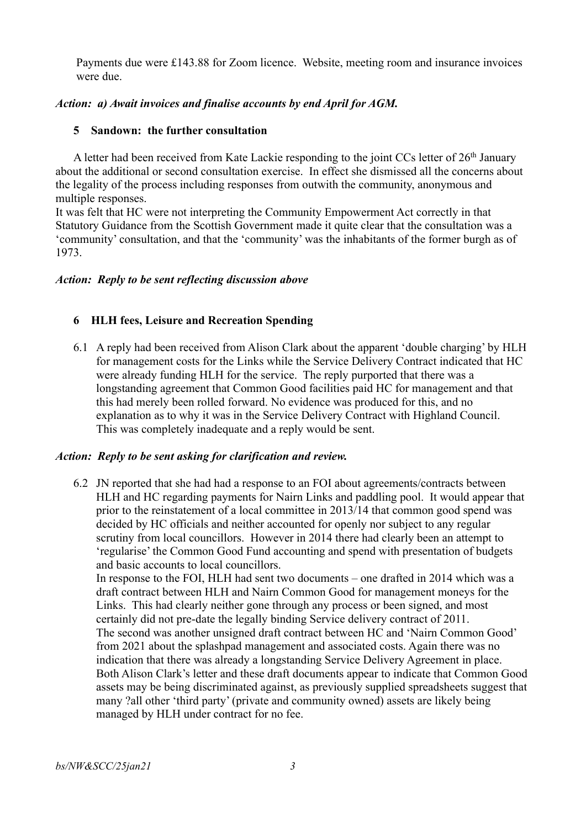Payments due were £143.88 for Zoom licence. Website, meeting room and insurance invoices were due.

### *Action: a) Await invoices and finalise accounts by end April for AGM.*

#### **5 Sandown: the further consultation**

A letter had been received from Kate Lackie responding to the joint CCs letter of  $26<sup>th</sup>$  January about the additional or second consultation exercise. In effect she dismissed all the concerns about the legality of the process including responses from outwith the community, anonymous and multiple responses.

It was felt that HC were not interpreting the Community Empowerment Act correctly in that Statutory Guidance from the Scottish Government made it quite clear that the consultation was a 'community' consultation, and that the 'community' was the inhabitants of the former burgh as of 1973.

#### *Action: Reply to be sent reflecting discussion above*

### **6 HLH fees, Leisure and Recreation Spending**

6.1 A reply had been received from Alison Clark about the apparent 'double charging' by HLH for management costs for the Links while the Service Delivery Contract indicated that HC were already funding HLH for the service. The reply purported that there was a longstanding agreement that Common Good facilities paid HC for management and that this had merely been rolled forward. No evidence was produced for this, and no explanation as to why it was in the Service Delivery Contract with Highland Council. This was completely inadequate and a reply would be sent.

#### *Action: Reply to be sent asking for clarification and review.*

6.2 JN reported that she had had a response to an FOI about agreements/contracts between HLH and HC regarding payments for Nairn Links and paddling pool. It would appear that prior to the reinstatement of a local committee in 2013/14 that common good spend was decided by HC officials and neither accounted for openly nor subject to any regular scrutiny from local councillors. However in 2014 there had clearly been an attempt to 'regularise' the Common Good Fund accounting and spend with presentation of budgets and basic accounts to local councillors.

In response to the FOI, HLH had sent two documents – one drafted in 2014 which was a draft contract between HLH and Nairn Common Good for management moneys for the Links. This had clearly neither gone through any process or been signed, and most certainly did not pre-date the legally binding Service delivery contract of 2011. The second was another unsigned draft contract between HC and 'Nairn Common Good' from 2021 about the splashpad management and associated costs. Again there was no indication that there was already a longstanding Service Delivery Agreement in place. Both Alison Clark's letter and these draft documents appear to indicate that Common Good assets may be being discriminated against, as previously supplied spreadsheets suggest that many ?all other 'third party' (private and community owned) assets are likely being managed by HLH under contract for no fee.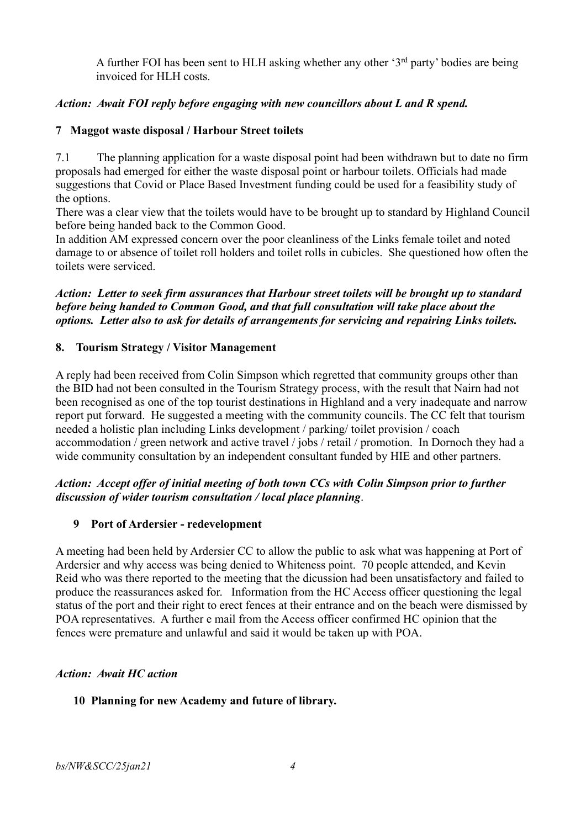A further FOI has been sent to HLH asking whether any other '3<sup>rd</sup> party' bodies are being invoiced for HLH costs.

## *Action: Await FOI reply before engaging with new councillors about L and R spend.*

## **7 Maggot waste disposal / Harbour Street toilets**

7.1 The planning application for a waste disposal point had been withdrawn but to date no firm proposals had emerged for either the waste disposal point or harbour toilets. Officials had made suggestions that Covid or Place Based Investment funding could be used for a feasibility study of the options.

There was a clear view that the toilets would have to be brought up to standard by Highland Council before being handed back to the Common Good.

In addition AM expressed concern over the poor cleanliness of the Links female toilet and noted damage to or absence of toilet roll holders and toilet rolls in cubicles. She questioned how often the toilets were serviced.

*Action: Letter to seek firm assurances that Harbour street toilets will be brought up to standard before being handed to Common Good, and that full consultation will take place about the options. Letter also to ask for details of arrangements for servicing and repairing Links toilets.*

## **8. Tourism Strategy / Visitor Management**

A reply had been received from Colin Simpson which regretted that community groups other than the BID had not been consulted in the Tourism Strategy process, with the result that Nairn had not been recognised as one of the top tourist destinations in Highland and a very inadequate and narrow report put forward. He suggested a meeting with the community councils. The CC felt that tourism needed a holistic plan including Links development / parking/ toilet provision / coach accommodation / green network and active travel / jobs / retail / promotion. In Dornoch they had a wide community consultation by an independent consultant funded by HIE and other partners.

# *Action: Accept offer of initial meeting of both town CCs with Colin Simpson prior to further discussion of wider tourism consultation / local place planning*.

## **9 Port of Ardersier - redevelopment**

A meeting had been held by Ardersier CC to allow the public to ask what was happening at Port of Ardersier and why access was being denied to Whiteness point. 70 people attended, and Kevin Reid who was there reported to the meeting that the dicussion had been unsatisfactory and failed to produce the reassurances asked for. Information from the HC Access officer questioning the legal status of the port and their right to erect fences at their entrance and on the beach were dismissed by POA representatives. A further e mail from the Access officer confirmed HC opinion that the fences were premature and unlawful and said it would be taken up with POA.

## *Action: Await HC action*

## **10 Planning for new Academy and future of library.**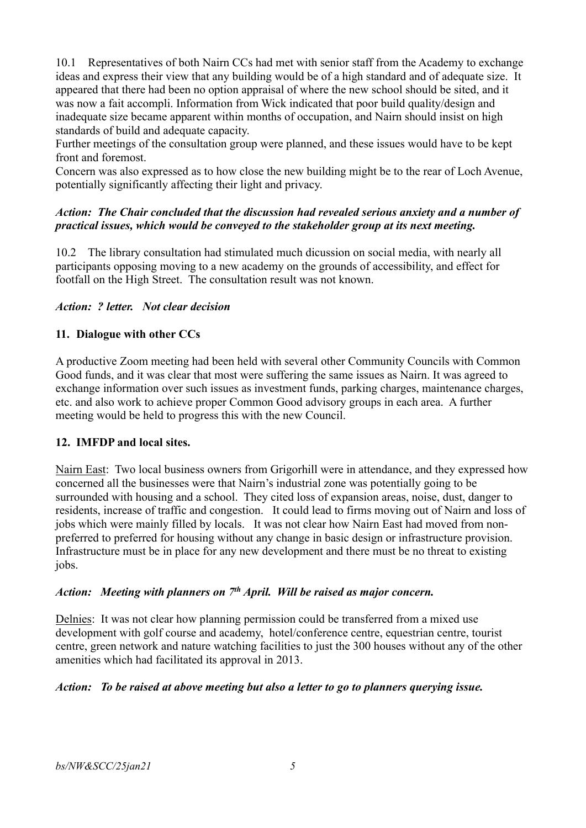10.1 Representatives of both Nairn CCs had met with senior staff from the Academy to exchange ideas and express their view that any building would be of a high standard and of adequate size. It appeared that there had been no option appraisal of where the new school should be sited, and it was now a fait accompli. Information from Wick indicated that poor build quality/design and inadequate size became apparent within months of occupation, and Nairn should insist on high standards of build and adequate capacity.

Further meetings of the consultation group were planned, and these issues would have to be kept front and foremost.

Concern was also expressed as to how close the new building might be to the rear of Loch Avenue, potentially significantly affecting their light and privacy.

## *Action: The Chair concluded that the discussion had revealed serious anxiety and a number of practical issues, which would be conveyed to the stakeholder group at its next meeting.*

10.2 The library consultation had stimulated much dicussion on social media, with nearly all participants opposing moving to a new academy on the grounds of accessibility, and effect for footfall on the High Street. The consultation result was not known.

# *Action: ? letter. Not clear decision*

# **11. Dialogue with other CCs**

A productive Zoom meeting had been held with several other Community Councils with Common Good funds, and it was clear that most were suffering the same issues as Nairn. It was agreed to exchange information over such issues as investment funds, parking charges, maintenance charges, etc. and also work to achieve proper Common Good advisory groups in each area. A further meeting would be held to progress this with the new Council.

## **12. IMFDP and local sites.**

Nairn East: Two local business owners from Grigorhill were in attendance, and they expressed how concerned all the businesses were that Nairn's industrial zone was potentially going to be surrounded with housing and a school. They cited loss of expansion areas, noise, dust, danger to residents, increase of traffic and congestion. It could lead to firms moving out of Nairn and loss of jobs which were mainly filled by locals. It was not clear how Nairn East had moved from nonpreferred to preferred for housing without any change in basic design or infrastructure provision. Infrastructure must be in place for any new development and there must be no threat to existing jobs.

## *Action: Meeting with planners on 7th April. Will be raised as major concern.*

Delnies: It was not clear how planning permission could be transferred from a mixed use development with golf course and academy, hotel/conference centre, equestrian centre, tourist centre, green network and nature watching facilities to just the 300 houses without any of the other amenities which had facilitated its approval in 2013.

## *Action: To be raised at above meeting but also a letter to go to planners querying issue.*